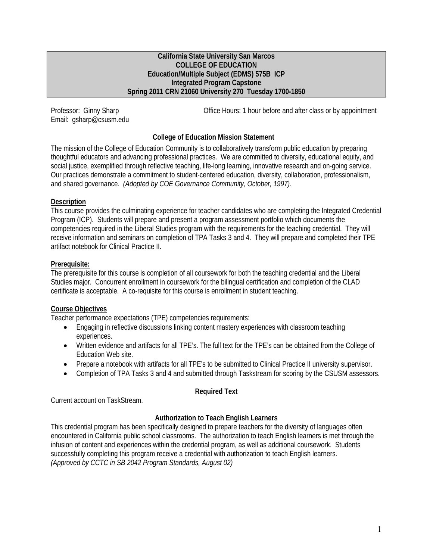#### **California State University San Marcos COLLEGE OF EDUCATION Education/Multiple Subject (EDMS) 575B ICP Integrated Program Capstone Spring 2011 CRN 21060 University 270 Tuesday 1700-1850**

Email: gsharp@csusm.edu

Professor: Ginny Sharp **Communist Communist Communist Communist Communist Communist Communist Communist Communist Communist Communist Communist Communist Communist Communist Communist Communist Communist Communist Communis** 

# **College of Education Mission Statement**

The mission of the College of Education Community is to collaboratively transform public education by preparing thoughtful educators and advancing professional practices. We are committed to diversity, educational equity, and social justice, exemplified through reflective teaching, life-long learning, innovative research and on-going service. Our practices demonstrate a commitment to student-centered education, diversity, collaboration, professionalism, and shared governance. *(Adopted by COE Governance Community, October, 1997).* 

## **Description**

This course provides the culminating experience for teacher candidates who are completing the Integrated Credential Program (ICP). Students will prepare and present a program assessment portfolio which documents the competencies required in the Liberal Studies program with the requirements for the teaching credential. They will receive information and seminars on completion of TPA Tasks 3 and 4. They will prepare and completed their TPE artifact notebook for Clinical Practice II.

# **Prerequisite:**

The prerequisite for this course is completion of all coursework for both the teaching credential and the Liberal Studies major. Concurrent enrollment in coursework for the bilingual certification and completion of the CLAD certificate is acceptable. A co-requisite for this course is enrollment in student teaching.

# **Course Objectives**

Teacher performance expectations (TPE) competencies requirements:

- Engaging in reflective discussions linking content mastery experiences with classroom teaching experiences.
- Written evidence and artifacts for all TPE's. The full text for the TPE's can be obtained from the College of Education Web site.
- Prepare a notebook with artifacts for all TPE's to be submitted to Clinical Practice II university supervisor.
- Completion of TPA Tasks 3 and 4 and submitted through Taskstream for scoring by the CSUSM assessors.

## **Required Text**

Current account on TaskStream.

# **Authorization to Teach English Learners**

This credential program has been specifically designed to prepare teachers for the diversity of languages often encountered in California public school classrooms. The authorization to teach English learners is met through the infusion of content and experiences within the credential program, as well as additional coursework. Students successfully completing this program receive a credential with authorization to teach English learners. *(Approved by CCTC in SB 2042 Program Standards, August 02)*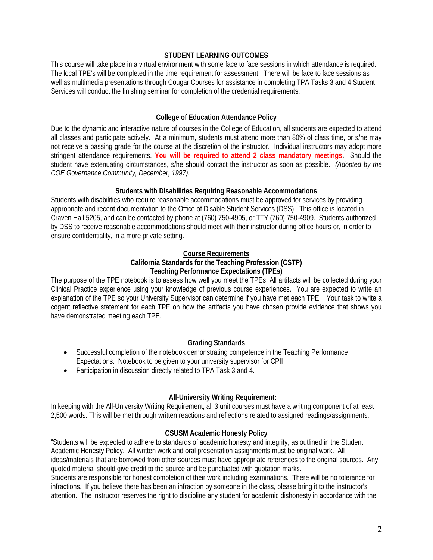#### **STUDENT LEARNING OUTCOMES**

This course will take place in a virtual environment with some face to face sessions in which attendance is required. The local TPE's will be completed in the time requirement for assessment. There will be face to face sessions as well as multimedia presentations through Cougar Courses for assistance in completing TPA Tasks 3 and 4.Student Services will conduct the finishing seminar for completion of the credential requirements.

### **College of Education Attendance Policy**

 all classes and participate actively. At a minimum, students must attend more than 80% of class time, or s/he may *COE Governance Community, December, 1997).* Due to the dynamic and interactive nature of courses in the College of Education, all students are expected to attend not receive a passing grade for the course at the discretion of the instructor. Individual instructors may adopt more stringent attendance requirements. **You will be required to attend 2 class mandatory meetings.** Should the student have extenuating circumstances, s/he should contact the instructor as soon as possible. *(Adopted by the* 

#### **Students with Disabilities Requiring Reasonable Accommodations**

Students with disabilities who require reasonable accommodations must be approved for services by providing appropriate and recent documentation to the Office of Disable Student Services (DSS). This office is located in Craven Hall 5205, and can be contacted by phone at (760) 750-4905, or TTY (760) 750-4909. Students authorized by DSS to receive reasonable accommodations should meet with their instructor during office hours or, in order to ensure confidentiality, in a more private setting.

#### **Course Requirements**

#### **California Standards for the Teaching Profession (CSTP) Teaching Performance Expectations (TPEs)**

The purpose of the TPE notebook is to assess how well you meet the TPEs. All artifacts will be collected during your Clinical Practice experience using your knowledge of previous course experiences. You are expected to write an explanation of the TPE so your University Supervisor can determine if you have met each TPE. Your task to write a cogent reflective statement for each TPE on how the artifacts you have chosen provide evidence that shows you have demonstrated meeting each TPE.

## **Grading Standards**

- Successful completion of the notebook demonstrating competence in the Teaching Performance Expectations. Notebook to be given to your university supervisor for CPII
- Participation in discussion directly related to TPA Task 3 and 4.

## **All-University Writing Requirement:**

 2,500 words. This will be met through written reactions and reflections related to assigned readings/assignments. In keeping with the All-University Writing Requirement, all 3 unit courses must have a writing component of at least

#### **CSUSM Academic Honesty Policy**

"Students will be expected to adhere to standards of academic honesty and integrity, as outlined in the Student Academic Honesty Policy. All written work and oral presentation assignments must be original work. All ideas/materials that are borrowed from other sources must have appropriate references to the original sources. Any quoted material should give credit to the source and be punctuated with quotation marks.

Students are responsible for honest completion of their work including examinations. There will be no tolerance for infractions. If you believe there has been an infraction by someone in the class, please bring it to the instructor's attention. The instructor reserves the right to discipline any student for academic dishonesty in accordance with the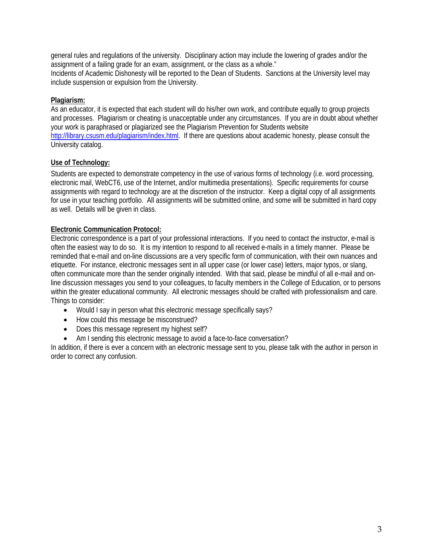general rules and regulations of the university. Disciplinary action may include the lowering of grades and/or the assignment of a failing grade for an exam, assignment, or the class as a whole."

Incidents of Academic Dishonesty will be reported to the Dean of Students. Sanctions at the University level may include suspension or expulsion from the University.

# **Plagiarism:**

As an educator, it is expected that each student will do his/her own work, and contribute equally to group projects and processes. Plagiarism or cheating is unacceptable under any circumstances. If you are in doubt about whether your work is paraphrased or plagiarized see the Plagiarism Prevention for Students website http://library.csusm.edu/plagiarism/index.html. If there are questions about academic honesty, please consult the University catalog.

# **Use of Technology:**

Students are expected to demonstrate competency in the use of various forms of technology (i.e. word processing, electronic mail, WebCT6, use of the Internet, and/or multimedia presentations). Specific requirements for course assignments with regard to technology are at the discretion of the instructor. Keep a digital copy of all assignments for use in your teaching portfolio. All assignments will be submitted online, and some will be submitted in hard copy as well. Details will be given in class.

## **Electronic Communication Protocol:**

Electronic correspondence is a part of your professional interactions. If you need to contact the instructor, e-mail is often the easiest way to do so. It is my intention to respond to all received e-mails in a timely manner. Please be reminded that e-mail and on-line discussions are a very specific form of communication, with their own nuances and etiquette. For instance, electronic messages sent in all upper case (or lower case) letters, major typos, or slang, often communicate more than the sender originally intended. With that said, please be mindful of all e-mail and online discussion messages you send to your colleagues, to faculty members in the College of Education, or to persons within the greater educational community. All electronic messages should be crafted with professionalism and care. Things to consider:

- Would I say in person what this electronic message specifically says?
- How could this message be misconstrued?
- Does this message represent my highest self?
- Am I sending this electronic message to avoid a face-to-face conversation?

In addition, if there is ever a concern with an electronic message sent to you, please talk with the author in person in order to correct any confusion.